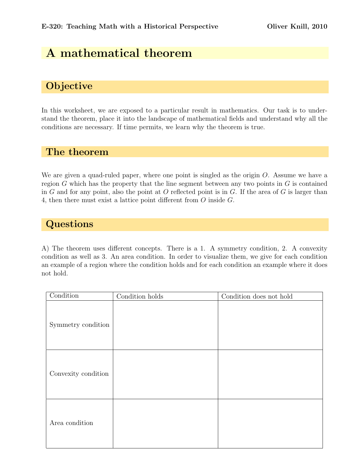## A mathematical theorem

## **Objective**

In this worksheet, we are exposed to a particular result in mathematics. Our task is to understand the theorem, place it into the landscape of mathematical fields and understand why all the conditions are necessary. If time permits, we learn why the theorem is true.

## The theorem

We are given a quad-ruled paper, where one point is singled as the origin  $O$ . Assume we have a region  $G$  which has the property that the line segment between any two points in  $G$  is contained in G and for any point, also the point at O reflected point is in G. If the area of G is larger than 4, then there must exist a lattice point different from O inside G.

## **Questions**

A) The theorem uses different concepts. There is a 1. A symmetry condition, 2. A convexity condition as well as 3. An area condition. In order to visualize them, we give for each condition an example of a region where the condition holds and for each condition an example where it does not hold.

| Condition           | Condition holds | Condition does not hold |  |  |  |
|---------------------|-----------------|-------------------------|--|--|--|
| Symmetry condition  |                 |                         |  |  |  |
| Convexity condition |                 |                         |  |  |  |
| Area condition      |                 |                         |  |  |  |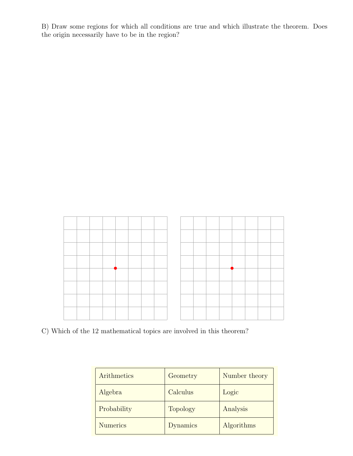B) Draw some regions for which all conditions are true and which illustrate the theorem. Does the origin necessarily have to be in the region?



C) Which of the 12 mathematical topics are involved in this theorem?

| Arithmetics     | Geometry        | Number theory |
|-----------------|-----------------|---------------|
| Algebra         | Calculus        | Logic         |
| Probability     | <b>Topology</b> | Analysis      |
| <b>Numerics</b> | <b>Dynamics</b> | Algorithms    |